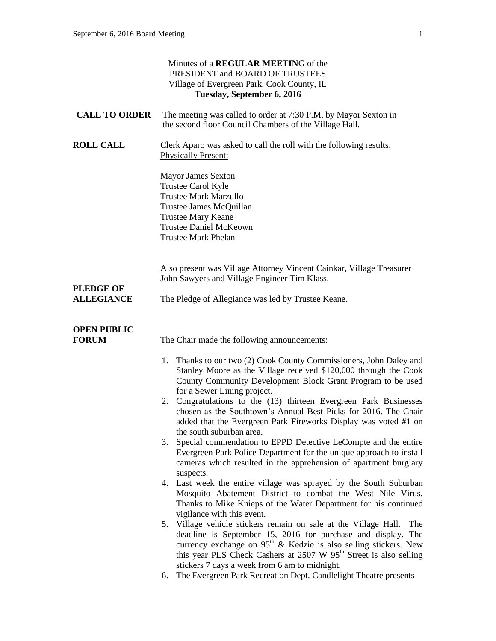| Minutes of a REGULAR MEETING of the<br>PRESIDENT and BOARD OF TRUSTEES<br>Village of Evergreen Park, Cook County, IL<br>Tuesday, September 6, 2016 |                                                                                                                                                                                                                                                                                                                                                                                                                                                                                                                                                                                                                                                                                                                                                                                                                                                                                                                                                                                                                                                                                                                                                                                                                                                                                                                                                                                    |
|----------------------------------------------------------------------------------------------------------------------------------------------------|------------------------------------------------------------------------------------------------------------------------------------------------------------------------------------------------------------------------------------------------------------------------------------------------------------------------------------------------------------------------------------------------------------------------------------------------------------------------------------------------------------------------------------------------------------------------------------------------------------------------------------------------------------------------------------------------------------------------------------------------------------------------------------------------------------------------------------------------------------------------------------------------------------------------------------------------------------------------------------------------------------------------------------------------------------------------------------------------------------------------------------------------------------------------------------------------------------------------------------------------------------------------------------------------------------------------------------------------------------------------------------|
| <b>CALL TO ORDER</b>                                                                                                                               | The meeting was called to order at 7:30 P.M. by Mayor Sexton in<br>the second floor Council Chambers of the Village Hall.                                                                                                                                                                                                                                                                                                                                                                                                                                                                                                                                                                                                                                                                                                                                                                                                                                                                                                                                                                                                                                                                                                                                                                                                                                                          |
| <b>ROLL CALL</b>                                                                                                                                   | Clerk Aparo was asked to call the roll with the following results:<br><b>Physically Present:</b>                                                                                                                                                                                                                                                                                                                                                                                                                                                                                                                                                                                                                                                                                                                                                                                                                                                                                                                                                                                                                                                                                                                                                                                                                                                                                   |
|                                                                                                                                                    | Mayor James Sexton<br>Trustee Carol Kyle<br><b>Trustee Mark Marzullo</b><br>Trustee James McQuillan<br><b>Trustee Mary Keane</b><br><b>Trustee Daniel McKeown</b><br><b>Trustee Mark Phelan</b>                                                                                                                                                                                                                                                                                                                                                                                                                                                                                                                                                                                                                                                                                                                                                                                                                                                                                                                                                                                                                                                                                                                                                                                    |
|                                                                                                                                                    | Also present was Village Attorney Vincent Cainkar, Village Treasurer<br>John Sawyers and Village Engineer Tim Klass.                                                                                                                                                                                                                                                                                                                                                                                                                                                                                                                                                                                                                                                                                                                                                                                                                                                                                                                                                                                                                                                                                                                                                                                                                                                               |
| <b>PLEDGE OF</b><br><b>ALLEGIANCE</b>                                                                                                              | The Pledge of Allegiance was led by Trustee Keane.                                                                                                                                                                                                                                                                                                                                                                                                                                                                                                                                                                                                                                                                                                                                                                                                                                                                                                                                                                                                                                                                                                                                                                                                                                                                                                                                 |
| <b>OPEN PUBLIC</b><br><b>FORUM</b>                                                                                                                 | The Chair made the following announcements:                                                                                                                                                                                                                                                                                                                                                                                                                                                                                                                                                                                                                                                                                                                                                                                                                                                                                                                                                                                                                                                                                                                                                                                                                                                                                                                                        |
|                                                                                                                                                    | 1. Thanks to our two (2) Cook County Commissioners, John Daley and<br>Stanley Moore as the Village received \$120,000 through the Cook<br>County Community Development Block Grant Program to be used<br>for a Sewer Lining project.<br>2. Congratulations to the (13) thirteen Evergreen Park Businesses<br>chosen as the Southtown's Annual Best Picks for 2016. The Chair<br>added that the Evergreen Park Fireworks Display was voted #1 on<br>the south suburban area.<br>Special commendation to EPPD Detective LeCompte and the entire<br>3.<br>Evergreen Park Police Department for the unique approach to install<br>cameras which resulted in the apprehension of apartment burglary<br>suspects.<br>4. Last week the entire village was sprayed by the South Suburban<br>Mosquito Abatement District to combat the West Nile Virus.<br>Thanks to Mike Knieps of the Water Department for his continued<br>vigilance with this event.<br>5. Village vehicle stickers remain on sale at the Village Hall. The<br>deadline is September 15, 2016 for purchase and display. The<br>currency exchange on 95 <sup>th</sup> & Kedzie is also selling stickers. New<br>this year PLS Check Cashers at 2507 W 95 <sup>th</sup> Street is also selling<br>stickers 7 days a week from 6 am to midnight.<br>The Evergreen Park Recreation Dept. Candlelight Theatre presents<br>6. |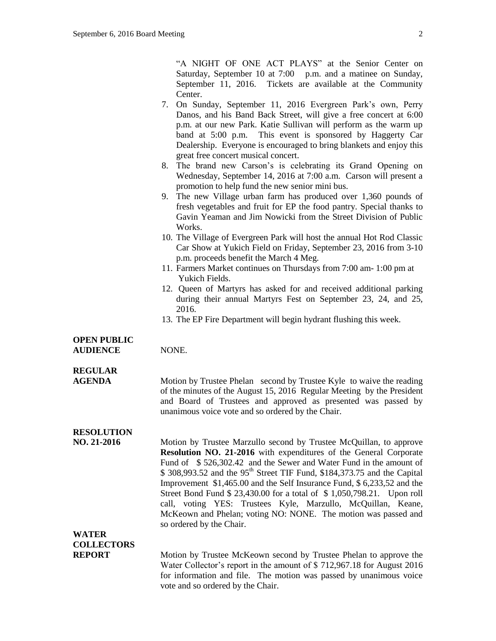"A NIGHT OF ONE ACT PLAYS" at the Senior Center on Saturday, September 10 at 7:00 p.m. and a matinee on Sunday, September 11, 2016. Tickets are available at the Community Center.

- 7. On Sunday, September 11, 2016 Evergreen Park's own, Perry Danos, and his Band Back Street, will give a free concert at 6:00 p.m. at our new Park. Katie Sullivan will perform as the warm up band at 5:00 p.m. This event is sponsored by Haggerty Car Dealership. Everyone is encouraged to bring blankets and enjoy this great free concert musical concert.
- 8. The brand new Carson's is celebrating its Grand Opening on Wednesday, September 14, 2016 at 7:00 a.m. Carson will present a promotion to help fund the new senior mini bus.
- 9. The new Village urban farm has produced over 1,360 pounds of fresh vegetables and fruit for EP the food pantry. Special thanks to Gavin Yeaman and Jim Nowicki from the Street Division of Public **Works**.
- 10. The Village of Evergreen Park will host the annual Hot Rod Classic Car Show at Yukich Field on Friday, September 23, 2016 from 3-10 p.m. proceeds benefit the March 4 Meg.
- 11. Farmers Market continues on Thursdays from 7:00 am- 1:00 pm at Yukich Fields.
- 12. Queen of Martyrs has asked for and received additional parking during their annual Martyrs Fest on September 23, 24, and 25, 2016.
- 13. The EP Fire Department will begin hydrant flushing this week.

#### **OPEN PUBLIC**

**AUDIENCE** NONE.

#### **REGULAR**

**AGENDA** Motion by Trustee Phelan second by Trustee Kyle to waive the reading of the minutes of the August 15, 2016 Regular Meeting by the President and Board of Trustees and approved as presented was passed by unanimous voice vote and so ordered by the Chair.

## **RESOLUTION**

**NO. 21-2016** Motion by Trustee Marzullo second by Trustee McQuillan, to approve **Resolution NO. 21-2016** with expenditures of the General Corporate Fund of \$ 526,302.42 and the Sewer and Water Fund in the amount of  $$308,993.52$  and the 95<sup>th</sup> Street TIF Fund,  $$184,373.75$  and the Capital Improvement \$1,465.00 and the Self Insurance Fund, \$ 6,233,52 and the Street Bond Fund \$ 23,430.00 for a total of \$ 1,050,798.21. Upon roll call, voting YES: Trustees Kyle, Marzullo, McQuillan, Keane, McKeown and Phelan; voting NO: NONE. The motion was passed and so ordered by the Chair.

### **WATER COLLECTORS**

**REPORT** Motion by Trustee McKeown second by Trustee Phelan to approve the Water Collector's report in the amount of \$ 712,967.18 for August 2016 for information and file. The motion was passed by unanimous voice vote and so ordered by the Chair.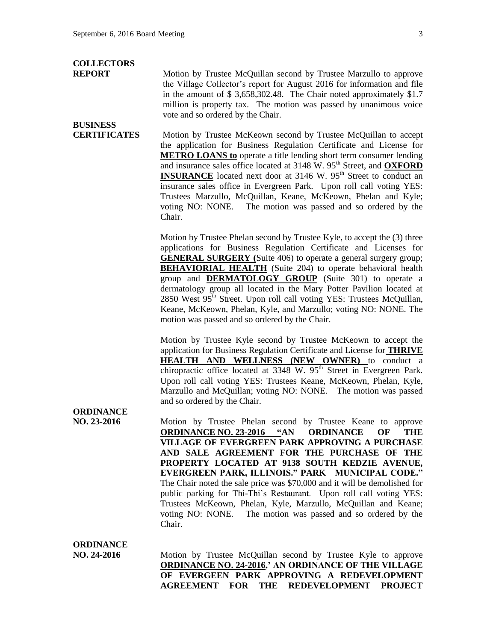## **COLLECTORS**

**BUSINESS** 

**REPORT** Motion by Trustee McQuillan second by Trustee Marzullo to approve the Village Collector's report for August 2016 for information and file in the amount of \$ 3,658,302.48. The Chair noted approximately \$1.7 million is property tax. The motion was passed by unanimous voice vote and so ordered by the Chair.

**CERTIFICATES** Motion by Trustee McKeown second by Trustee McQuillan to accept the application for Business Regulation Certificate and License for **METRO LOANS to** operate a title lending short term consumer lending and insurance sales office located at 3148 W. 95<sup>th</sup> Street, and **OXFORD INSURANCE** located next door at 3146 W. 95<sup>th</sup> Street to conduct an insurance sales office in Evergreen Park. Upon roll call voting YES: Trustees Marzullo, McQuillan, Keane, McKeown, Phelan and Kyle; voting NO: NONE. The motion was passed and so ordered by the Chair.

> Motion by Trustee Phelan second by Trustee Kyle, to accept the (3) three applications for Business Regulation Certificate and Licenses for **GENERAL SURGERY (**Suite 406) to operate a general surgery group; **BEHAVIORIAL HEALTH** (Suite 204) to operate behavioral health group and **DERMATOLOGY GROUP** (Suite 301) to operate a dermatology group all located in the Mary Potter Pavilion located at 2850 West 95<sup>th</sup> Street. Upon roll call voting YES: Trustees McQuillan, Keane, McKeown, Phelan, Kyle, and Marzullo; voting NO: NONE. The motion was passed and so ordered by the Chair.

> Motion by Trustee Kyle second by Trustee McKeown to accept the application for Business Regulation Certificate and License for **THRIVE HEALTH AND WELLNESS (NEW OWNER)** to conduct a chiropractic office located at  $3348$  W.  $95<sup>th</sup>$  Street in Evergreen Park. Upon roll call voting YES: Trustees Keane, McKeown, Phelan, Kyle, Marzullo and McQuillan; voting NO: NONE. The motion was passed and so ordered by the Chair.

**ORDINANCE**

**NO. 23-2016** Motion by Trustee Phelan second by Trustee Keane to approve **ORDINANCE NO. 23-2016 "AN ORDINANCE OF THE VILLAGE OF EVERGREEN PARK APPROVING A PURCHASE AND SALE AGREEMENT FOR THE PURCHASE OF THE PROPERTY LOCATED AT 9138 SOUTH KEDZIE AVENUE, EVERGREEN PARK, ILLINOIS." PARK MUNICIPAL CODE."**  The Chair noted the sale price was \$70,000 and it will be demolished for public parking for Thi-Thi's Restaurant. Upon roll call voting YES: Trustees McKeown, Phelan, Kyle, Marzullo, McQuillan and Keane; voting NO: NONE. The motion was passed and so ordered by the Chair.

**ORDINANCE**

**NO. 24-2016** Motion by Trustee McQuillan second by Trustee Kyle to approve **ORDINANCE NO. 24-2016,' AN ORDINANCE OF THE VILLAGE OF EVERGEEN PARK APPROVING A REDEVELOPMENT AGREEMENT FOR THE REDEVELOPMENT PROJECT**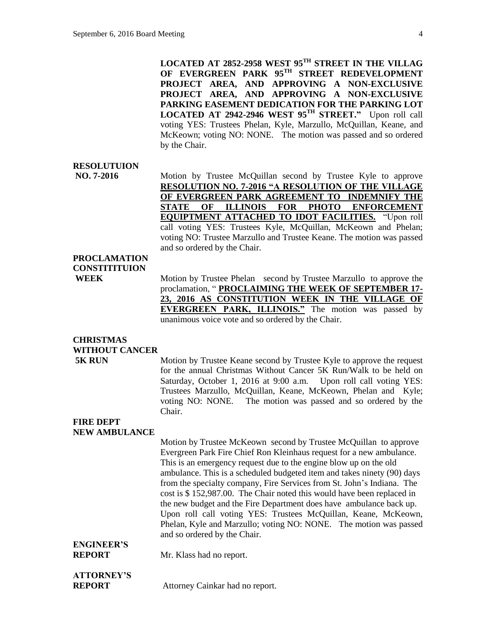**LOCATED AT 2852-2958 WEST 95TH STREET IN THE VILLAG OF EVERGREEN PARK 95TH STREET REDEVELOPMENT PROJECT AREA, AND APPROVING A NON-EXCLUSIVE PROJECT AREA, AND APPROVING A NON-EXCLUSIVE PARKING EASEMENT DEDICATION FOR THE PARKING LOT LOCATED AT 2942-2946 WEST 95TH STREET."** Upon roll call voting YES: Trustees Phelan, Kyle, Marzullo, McQuillan, Keane, and McKeown; voting NO: NONE. The motion was passed and so ordered by the Chair.

#### **RESOLUTUION**

**NO. 7-2016** Motion by Trustee McQuillan second by Trustee Kyle to approve **RESOLUTION NO. 7-2016 "A RESOLUTION OF THE VILLAGE OF EVERGREEN PARK AGREEMENT TO INDEMNIFY THE STATE OF ILLINOIS FOR PHOTO ENFORCEMENT EQUIPTMENT ATTACHED TO IDOT FACILITIES.** "Upon roll call voting YES: Trustees Kyle, McQuillan, McKeown and Phelan; voting NO: Trustee Marzullo and Trustee Keane. The motion was passed and so ordered by the Chair.

### **PROCLAMATION CONSTITITUION**

**WEEK** Motion by Trustee Phelan second by Trustee Marzullo to approve the proclamation, " **PROCLAIMING THE WEEK OF SEPTEMBER 17- 23, 2016 AS CONSTITUTION WEEK IN THE VILLAGE OF EVERGREEN PARK, ILLINOIS."** The motion was passed by unanimous voice vote and so ordered by the Chair.

## **CHRISTMAS WITHOUT CANCER**

**5K RUN** Motion by Trustee Keane second by Trustee Kyle to approve the request for the annual Christmas Without Cancer 5K Run/Walk to be held on Saturday, October 1, 2016 at 9:00 a.m. Upon roll call voting YES: Trustees Marzullo, McQuillan, Keane, McKeown, Phelan and Kyle; voting NO: NONE. The motion was passed and so ordered by the Chair.

#### **FIRE DEPT NEW AMBULANCE**

Motion by Trustee McKeown second by Trustee McQuillan to approve Evergreen Park Fire Chief Ron Kleinhaus request for a new ambulance. This is an emergency request due to the engine blow up on the old ambulance. This is a scheduled budgeted item and takes ninety (90) days from the specialty company, Fire Services from St. John's Indiana. The cost is \$ 152,987.00. The Chair noted this would have been replaced in the new budget and the Fire Department does have ambulance back up. Upon roll call voting YES: Trustees McQuillan, Keane, McKeown, Phelan, Kyle and Marzullo; voting NO: NONE. The motion was passed and so ordered by the Chair. **ENGINEER'S REPORT** Mr. Klass had no report.

# **ATTORNEY'S**

**REPORT** Attorney Cainkar had no report.